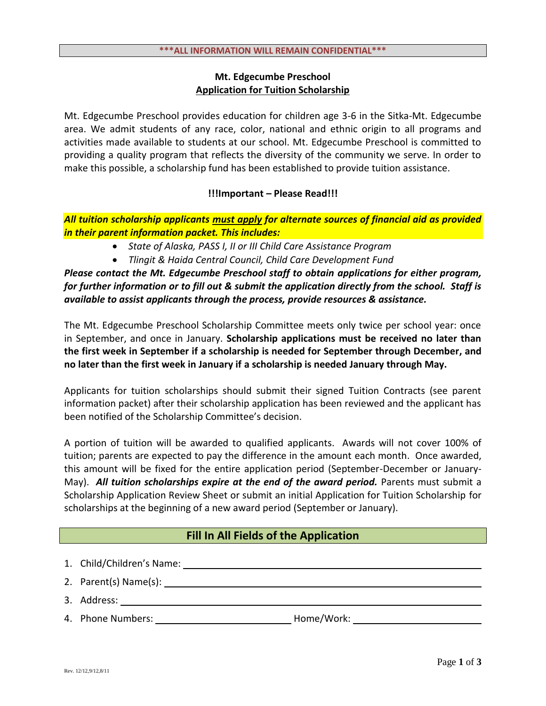## **Mt. Edgecumbe Preschool Application for Tuition Scholarship**

Mt. Edgecumbe Preschool provides education for children age 3-6 in the Sitka-Mt. Edgecumbe area. We admit students of any race, color, national and ethnic origin to all programs and activities made available to students at our school. Mt. Edgecumbe Preschool is committed to providing a quality program that reflects the diversity of the community we serve. In order to make this possible, a scholarship fund has been established to provide tuition assistance.

## **!!!Important – Please Read!!!**

*All tuition scholarship applicants must apply for alternate sources of financial aid as provided in their parent information packet. This includes:*

- *State of Alaska, PASS I, II or III Child Care Assistance Program*
- *Tlingit & Haida Central Council, Child Care Development Fund*

*Please contact the Mt. Edgecumbe Preschool staff to obtain applications for either program, for further information or to fill out & submit the application directly from the school. Staff is available to assist applicants through the process, provide resources & assistance.*

The Mt. Edgecumbe Preschool Scholarship Committee meets only twice per school year: once in September, and once in January. **Scholarship applications must be received no later than the first week in September if a scholarship is needed for September through December, and no later than the first week in January if a scholarship is needed January through May.**

Applicants for tuition scholarships should submit their signed Tuition Contracts (see parent information packet) after their scholarship application has been reviewed and the applicant has been notified of the Scholarship Committee's decision.

A portion of tuition will be awarded to qualified applicants. Awards will not cover 100% of tuition; parents are expected to pay the difference in the amount each month. Once awarded, this amount will be fixed for the entire application period (September-December or January-May). *All tuition scholarships expire at the end of the award period.* Parents must submit a Scholarship Application Review Sheet or submit an initial Application for Tuition Scholarship for scholarships at the beginning of a new award period (September or January).

## **Fill In All Fields of the Application**

| 1. Child/Children's Name: |            |
|---------------------------|------------|
| 2. Parent(s) Name(s):     |            |
| 3. Address:               |            |
| 4. Phone Numbers:         | Home/Work: |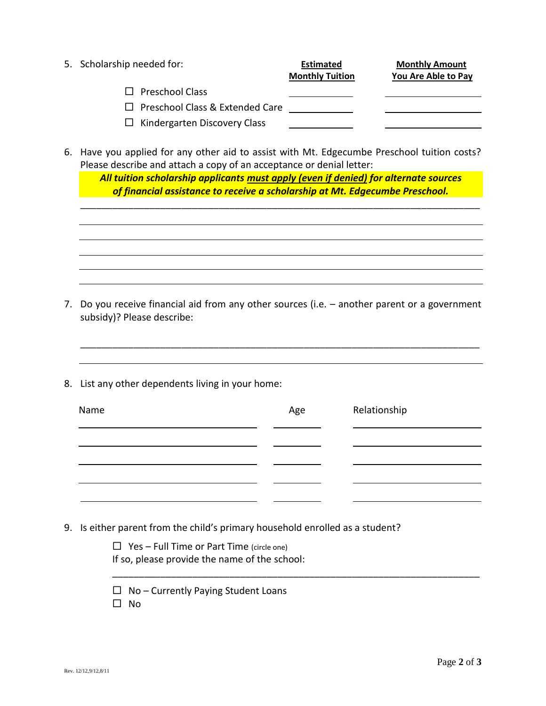| 5. Scholarship needed for:             | <b>Estimated</b><br><b>Monthly Tuition</b> | <b>Monthly Amount</b><br>You Are Able to Pay |
|----------------------------------------|--------------------------------------------|----------------------------------------------|
| $\Box$ Preschool Class                 |                                            |                                              |
| $\Box$ Preschool Class & Extended Care |                                            |                                              |
| $\Box$ Kindergarten Discovery Class    |                                            |                                              |

6. Have you applied for any other aid to assist with Mt. Edgecumbe Preschool tuition costs? Please describe and attach a copy of an acceptance or denial letter:

*All tuition scholarship applicants must apply (even if denied) for alternate sources of financial assistance to receive a scholarship at Mt. Edgecumbe Preschool.*

\_\_\_\_\_\_\_\_\_\_\_\_\_\_\_\_\_\_\_\_\_\_\_\_\_\_\_\_\_\_\_\_\_\_\_\_\_\_\_\_\_\_\_\_\_\_\_\_\_\_\_\_\_\_\_\_\_\_\_\_\_\_\_\_\_\_\_\_\_\_\_\_\_\_\_

7. Do you receive financial aid from any other sources (i.e. – another parent or a government subsidy)? Please describe:

\_\_\_\_\_\_\_\_\_\_\_\_\_\_\_\_\_\_\_\_\_\_\_\_\_\_\_\_\_\_\_\_\_\_\_\_\_\_\_\_\_\_\_\_\_\_\_\_\_\_\_\_\_\_\_\_\_\_\_\_\_\_\_\_\_\_\_\_\_\_\_\_\_\_\_

8. List any other dependents living in your home:

| Name | Age | Relationship |
|------|-----|--------------|
|      |     |              |
|      |     |              |
|      |     |              |

\_\_\_\_\_\_\_\_\_\_\_\_\_\_\_\_\_\_\_\_\_\_\_\_\_\_\_\_\_\_\_\_\_\_\_\_\_\_\_\_\_\_\_\_\_\_\_\_\_\_\_\_\_\_\_\_\_\_\_\_\_\_\_\_\_\_\_\_\_

9. Is either parent from the child's primary household enrolled as a student?

 $\Box$  Yes – Full Time or Part Time (circle one)

If so, please provide the name of the school:

 $\Box$  No – Currently Paying Student Loans

 $\square$  No